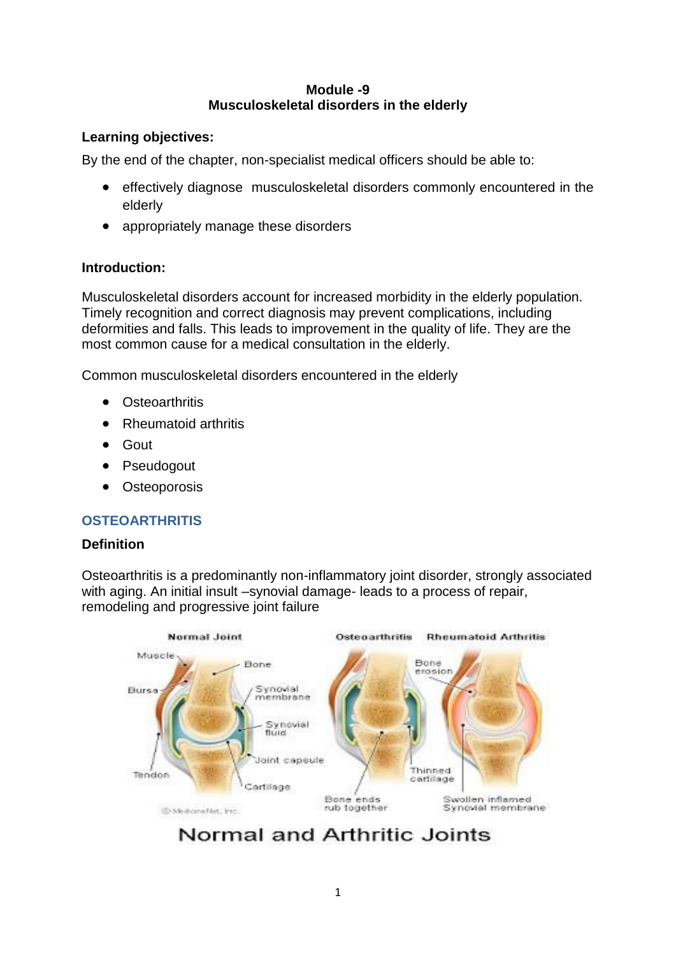#### **Module -9 Musculoskeletal disorders in the elderly**

## **Learning objectives:**

By the end of the chapter, non-specialist medical officers should be able to:

- effectively diagnose musculoskeletal disorders commonly encountered in the elderly
- appropriately manage these disorders

## **Introduction:**

Musculoskeletal disorders account for increased morbidity in the elderly population. Timely recognition and correct diagnosis may prevent complications, including deformities and falls. This leads to improvement in the quality of life. They are the most common cause for a medical consultation in the elderly.

Common musculoskeletal disorders encountered in the elderly

- Osteoarthritis
- Rheumatoid arthritis
- Gout
- Pseudogout
- Osteoporosis

## **OSTEOARTHRITIS**

## **Definition**

Osteoarthritis is a predominantly non-inflammatory joint disorder, strongly associated with aging. An initial insult –synovial damage- leads to a process of repair, remodeling and progressive joint failure



## Normal and Arthritic Joints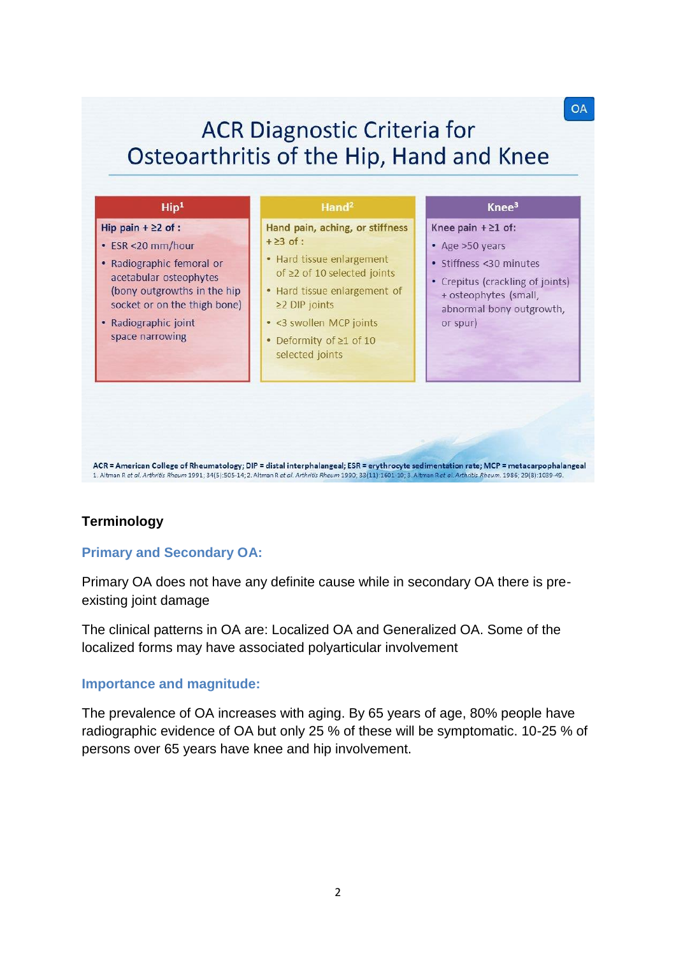# **ACR Diagnostic Criteria for** Osteoarthritis of the Hip, Hand and Knee

**OA** 

| Hip pain $+22$ of :                                                                                                                                                                | Hand pain, aching, or stiffness                                                                                                                                                                                    | Knee pain $+ \ge 1$ of:                                                                                                                         |
|------------------------------------------------------------------------------------------------------------------------------------------------------------------------------------|--------------------------------------------------------------------------------------------------------------------------------------------------------------------------------------------------------------------|-------------------------------------------------------------------------------------------------------------------------------------------------|
| • ESR <20 mm/hour<br>• Radiographic femoral or<br>acetabular osteophytes<br>(bony outgrowths in the hip<br>socket or on the thigh bone)<br>• Radiographic joint<br>space narrowing | $+23$ of :<br>• Hard tissue enlargement<br>of $\geq$ 2 of 10 selected joints<br>• Hard tissue enlargement of<br>$\geq$ 2 DIP joints<br>• <3 swollen MCP joints<br>• Deformity of $\geq 1$ of 10<br>selected joints | • Age >50 years<br>• Stiffness <30 minutes<br>• Crepitus (crackling of joints)<br>+ osteophytes (small,<br>abnormal bony outgrowth,<br>or spur) |

## **Terminology**

## **Primary and Secondary OA:**

Primary OA does not have any definite cause while in secondary OA there is preexisting joint damage

1. Altman R et al. Arthritis Rheum 1991; 34(5): 505-14; 2. Altman R et al. Arthritis Rheum 1990; 33(11): 1601-10; 3. Altman R et al. Arthritis Rheum. 1986; 29(8): 1039-49

The clinical patterns in OA are: Localized OA and Generalized OA. Some of the localized forms may have associated polyarticular involvement

#### **Importance and magnitude:**

The prevalence of OA increases with aging. By 65 years of age, 80% people have radiographic evidence of OA but only 25 % of these will be symptomatic. 10-25 % of persons over 65 years have knee and hip involvement.

2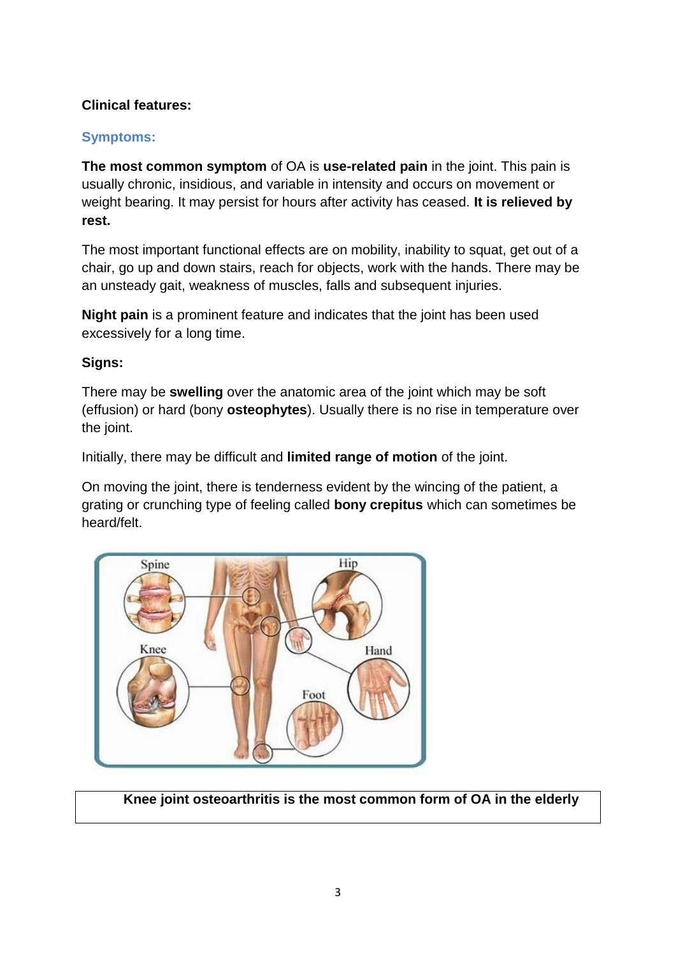## **Clinical features:**

## **Symptoms:**

**The most common symptom** of OA is **use-related pain** in the joint. This pain is usually chronic, insidious, and variable in intensity and occurs on movement or weight bearing. It may persist for hours after activity has ceased. **It is relieved by rest.** 

The most important functional effects are on mobility, inability to squat, get out of a chair, go up and down stairs, reach for objects, work with the hands. There may be an unsteady gait, weakness of muscles, falls and subsequent injuries.

**Night pain** is a prominent feature and indicates that the joint has been used excessively for a long time.

## **Signs:**

There may be **swelling** over the anatomic area of the joint which may be soft (effusion) or hard (bony **osteophytes**). Usually there is no rise in temperature over the joint.

Initially, there may be difficult and **limited range of motion** of the joint.

On moving the joint, there is tenderness evident by the wincing of the patient, a grating or crunching type of feeling called **bony crepitus** which can sometimes be heard/felt.



 **Knee joint osteoarthritis is the most common form of OA in the elderly**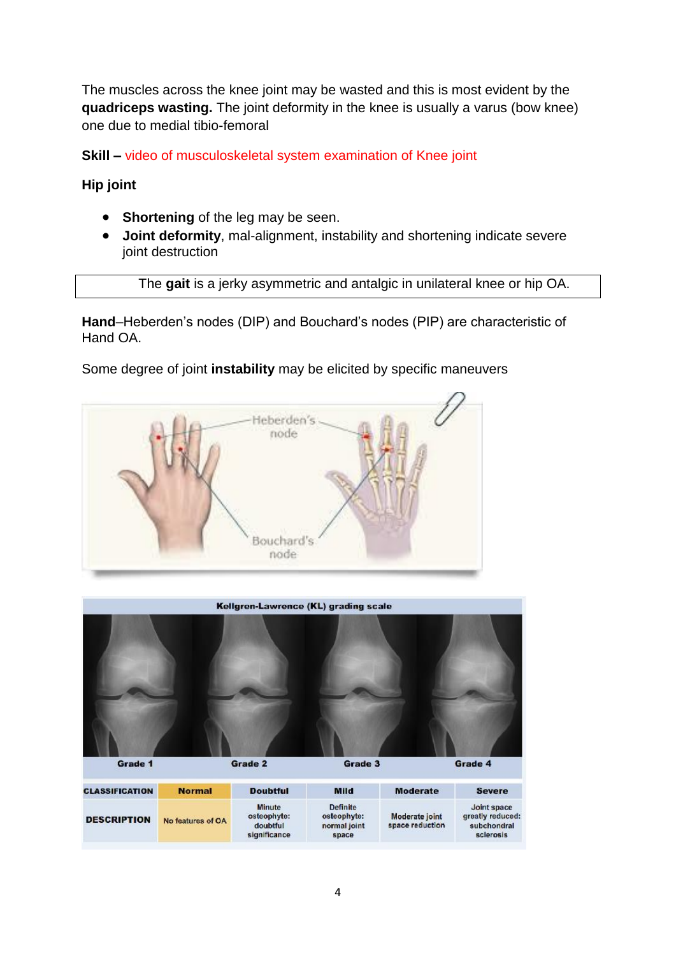The muscles across the knee joint may be wasted and this is most evident by the **quadriceps wasting.** The joint deformity in the knee is usually a varus (bow knee) one due to medial tibio-femoral

**Skill –** video of musculoskeletal system examination of Knee joint

**Hip joint**

- **Shortening** of the leg may be seen.
- **Joint deformity**, mal-alignment, instability and shortening indicate severe joint destruction

The **gait** is a jerky asymmetric and antalgic in unilateral knee or hip OA.

**Hand**–Heberden's nodes (DIP) and Bouchard's nodes (PIP) are characteristic of Hand OA.

Some degree of joint **instability** may be elicited by specific maneuvers





| <b>CLASSIFICATION</b> | <b>Normal</b>     | <b>Doubtful</b>                                          | Mild                                                    | <b>Moderate</b>                   | <b>Severe</b>                                               |
|-----------------------|-------------------|----------------------------------------------------------|---------------------------------------------------------|-----------------------------------|-------------------------------------------------------------|
| <b>DESCRIPTION</b>    | No features of OA | <b>Minute</b><br>osteophyte:<br>doubtful<br>significance | <b>Definite</b><br>osteophyte:<br>normal joint<br>space | Moderate joint<br>space reduction | Joint space<br>greatly reduced:<br>subchondral<br>sclerosis |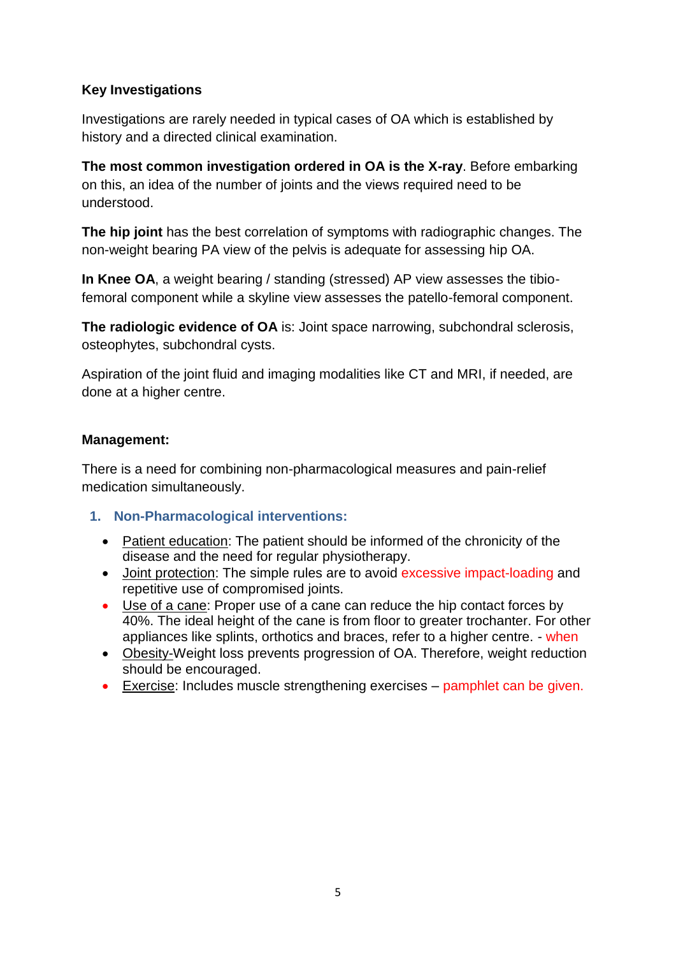## **Key Investigations**

Investigations are rarely needed in typical cases of OA which is established by history and a directed clinical examination.

**The most common investigation ordered in OA is the X-ray**. Before embarking on this, an idea of the number of joints and the views required need to be understood.

**The hip joint** has the best correlation of symptoms with radiographic changes. The non-weight bearing PA view of the pelvis is adequate for assessing hip OA.

**In Knee OA**, a weight bearing / standing (stressed) AP view assesses the tibiofemoral component while a skyline view assesses the patello-femoral component.

**The radiologic evidence of OA** is: Joint space narrowing, subchondral sclerosis, osteophytes, subchondral cysts.

Aspiration of the joint fluid and imaging modalities like CT and MRI, if needed, are done at a higher centre.

## **Management:**

There is a need for combining non-pharmacological measures and pain-relief medication simultaneously.

- **1. Non-Pharmacological interventions:** 
	- Patient education: The patient should be informed of the chronicity of the disease and the need for regular physiotherapy.
	- Joint protection: The simple rules are to avoid excessive impact-loading and repetitive use of compromised joints.
	- Use of a cane: Proper use of a cane can reduce the hip contact forces by 40%. The ideal height of the cane is from floor to greater trochanter. For other appliances like splints, orthotics and braces, refer to a higher centre. - when
	- Obesity-Weight loss prevents progression of OA. Therefore, weight reduction should be encouraged.
	- Exercise: Includes muscle strengthening exercises pamphlet can be given.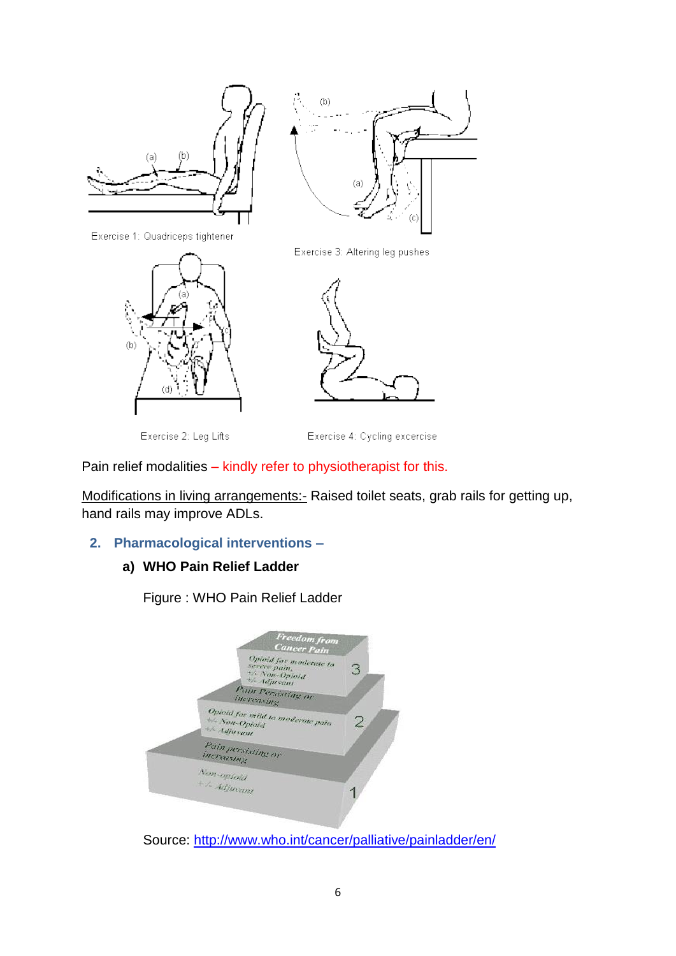

Exercise 3: Altering leg pushes





Exercise 2: Leg Lifts

Exercise 4: Cycling excercise

Pain relief modalities – kindly refer to physiotherapist for this.

Modifications in living arrangements:- Raised toilet seats, grab rails for getting up, hand rails may improve ADLs.

## **2. Pharmacological interventions –**

## **a) WHO Pain Relief Ladder**

Figure : WHO Pain Relief Ladder



Source:<http://www.who.int/cancer/palliative/painladder/en/>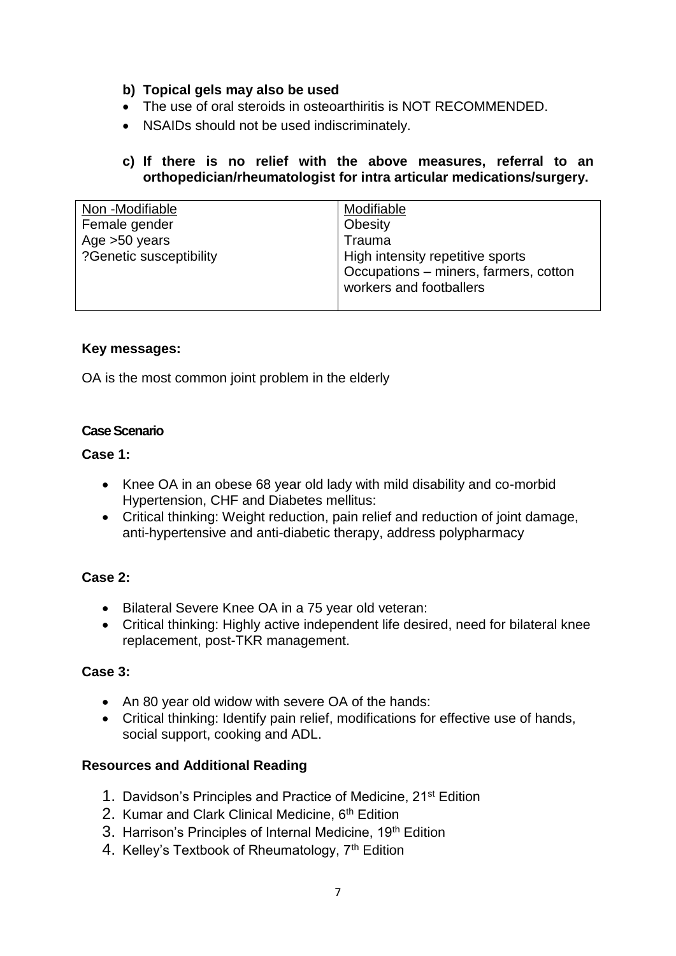- **b) Topical gels may also be used**
- The use of oral steroids in osteoarthiritis is NOT RECOMMENDED.
- NSAIDs should not be used indiscriminately.
- **c) If there is no relief with the above measures, referral to an orthopedician/rheumatologist for intra articular medications/surgery.**

| Non -Modifiable         | Modifiable                            |
|-------------------------|---------------------------------------|
| Female gender           | Obesity                               |
| Age $>50$ years         | Trauma                                |
| ?Genetic susceptibility | High intensity repetitive sports      |
|                         | Occupations - miners, farmers, cotton |
|                         | workers and footballers               |
|                         |                                       |

#### **Key messages:**

OA is the most common joint problem in the elderly

#### **Case Scenario**

#### **Case 1:**

- Knee OA in an obese 68 year old lady with mild disability and co-morbid Hypertension, CHF and Diabetes mellitus:
- Critical thinking: Weight reduction, pain relief and reduction of joint damage, anti-hypertensive and anti-diabetic therapy, address polypharmacy

## **Case 2:**

- Bilateral Severe Knee OA in a 75 year old veteran:
- Critical thinking: Highly active independent life desired, need for bilateral knee replacement, post-TKR management.

#### **Case 3:**

- An 80 year old widow with severe OA of the hands:
- Critical thinking: Identify pain relief, modifications for effective use of hands, social support, cooking and ADL.

#### **Resources and Additional Reading**

- 1. Davidson's Principles and Practice of Medicine, 21<sup>st</sup> Edition
- 2. Kumar and Clark Clinical Medicine, 6<sup>th</sup> Edition
- 3. Harrison's Principles of Internal Medicine, 19<sup>th</sup> Edition
- 4. Kelley's Textbook of Rheumatology, 7<sup>th</sup> Edition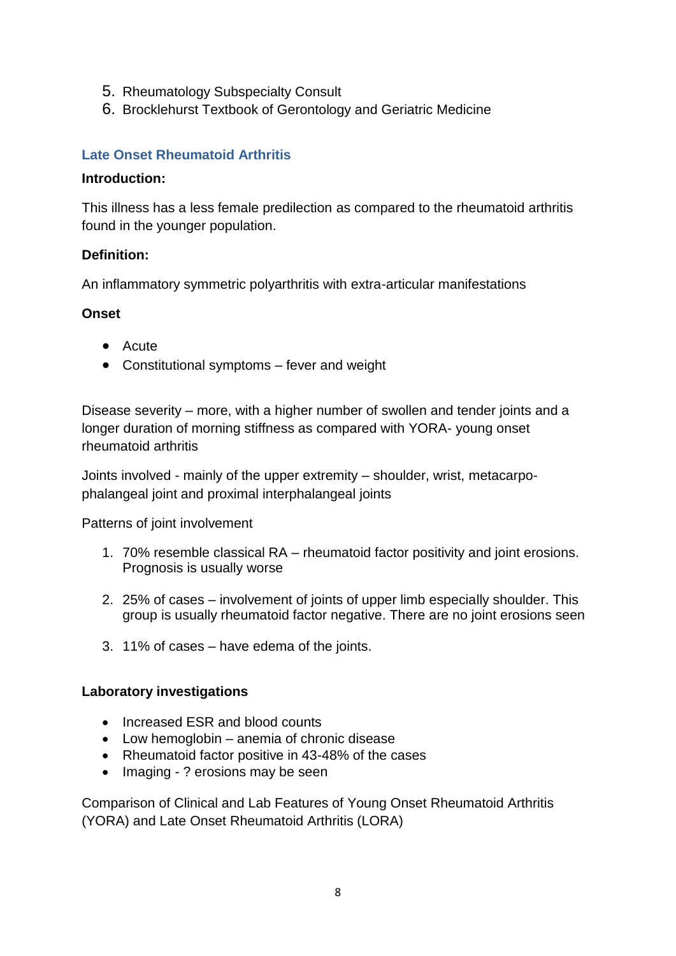- 5. Rheumatology Subspecialty Consult
- 6. Brocklehurst Textbook of Gerontology and Geriatric Medicine

## **Late Onset Rheumatoid Arthritis**

#### **Introduction:**

This illness has a less female predilection as compared to the rheumatoid arthritis found in the younger population.

#### **Definition:**

An inflammatory symmetric polyarthritis with extra-articular manifestations

#### **Onset**

- Acute
- Constitutional symptoms fever and weight

Disease severity – more, with a higher number of swollen and tender joints and a longer duration of morning stiffness as compared with YORA- young onset rheumatoid arthritis

Joints involved - mainly of the upper extremity – shoulder, wrist, metacarpophalangeal joint and proximal interphalangeal joints

Patterns of joint involvement

- 1. 70% resemble classical RA rheumatoid factor positivity and joint erosions. Prognosis is usually worse
- 2. 25% of cases involvement of joints of upper limb especially shoulder. This group is usually rheumatoid factor negative. There are no joint erosions seen
- 3. 11% of cases have edema of the joints.

#### **Laboratory investigations**

- Increased ESR and blood counts
- Low hemoglobin anemia of chronic disease
- Rheumatoid factor positive in 43-48% of the cases
- Imaging ? erosions may be seen

Comparison of Clinical and Lab Features of Young Onset Rheumatoid Arthritis (YORA) and Late Onset Rheumatoid Arthritis (LORA)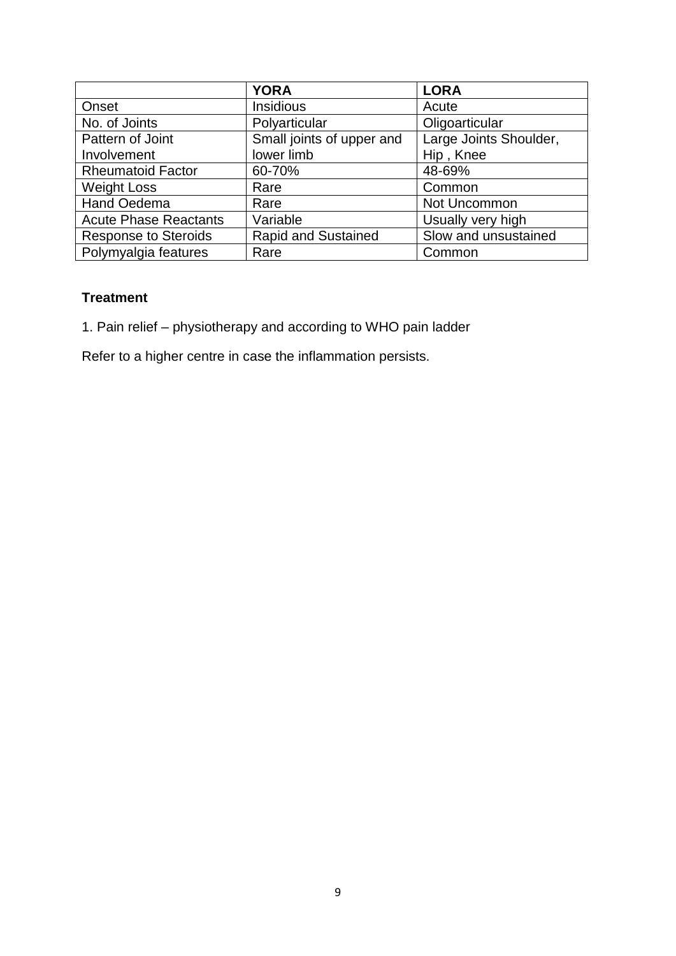|                              | <b>YORA</b>                | <b>LORA</b>            |
|------------------------------|----------------------------|------------------------|
| Onset                        | Insidious                  | Acute                  |
| No. of Joints                | Polyarticular              | Oligoarticular         |
| Pattern of Joint             | Small joints of upper and  | Large Joints Shoulder, |
| Involvement                  | lower limb                 | Hip, Knee              |
| <b>Rheumatoid Factor</b>     | 60-70%                     | 48-69%                 |
| <b>Weight Loss</b>           | Rare                       | Common                 |
| <b>Hand Oedema</b>           | Rare                       | Not Uncommon           |
| <b>Acute Phase Reactants</b> | Variable                   | Usually very high      |
| <b>Response to Steroids</b>  | <b>Rapid and Sustained</b> | Slow and unsustained   |
| Polymyalgia features         | Rare                       | Common                 |

## **Treatment**

1. Pain relief – physiotherapy and according to WHO pain ladder

Refer to a higher centre in case the inflammation persists.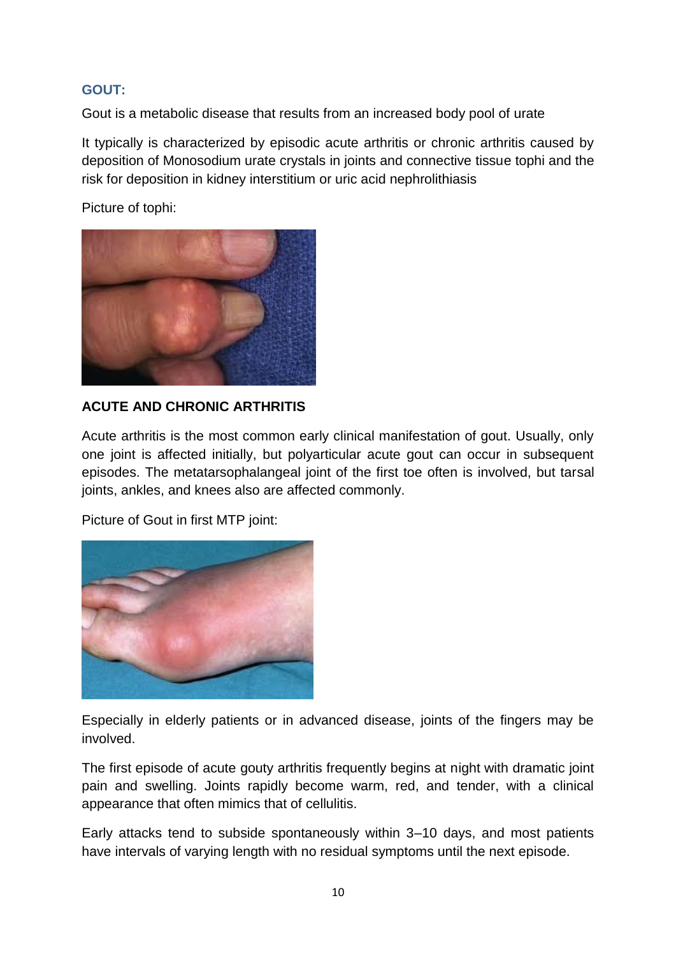## **GOUT:**

Gout is a metabolic disease that results from an increased body pool of urate

It typically is characterized by episodic acute arthritis or chronic arthritis caused by deposition of Monosodium urate crystals in joints and connective tissue tophi and the risk for deposition in kidney interstitium or uric acid nephrolithiasis

Picture of tophi:



## **ACUTE AND CHRONIC ARTHRITIS**

Acute arthritis is the most common early clinical manifestation of gout. Usually, only one joint is affected initially, but polyarticular acute gout can occur in subsequent episodes. The metatarsophalangeal joint of the first toe often is involved, but tarsal joints, ankles, and knees also are affected commonly.

Picture of Gout in first MTP joint:



Especially in elderly patients or in advanced disease, joints of the fingers may be involved.

The first episode of acute gouty arthritis frequently begins at night with dramatic joint pain and swelling. Joints rapidly become warm, red, and tender, with a clinical appearance that often mimics that of cellulitis.

Early attacks tend to subside spontaneously within 3–10 days, and most patients have intervals of varying length with no residual symptoms until the next episode.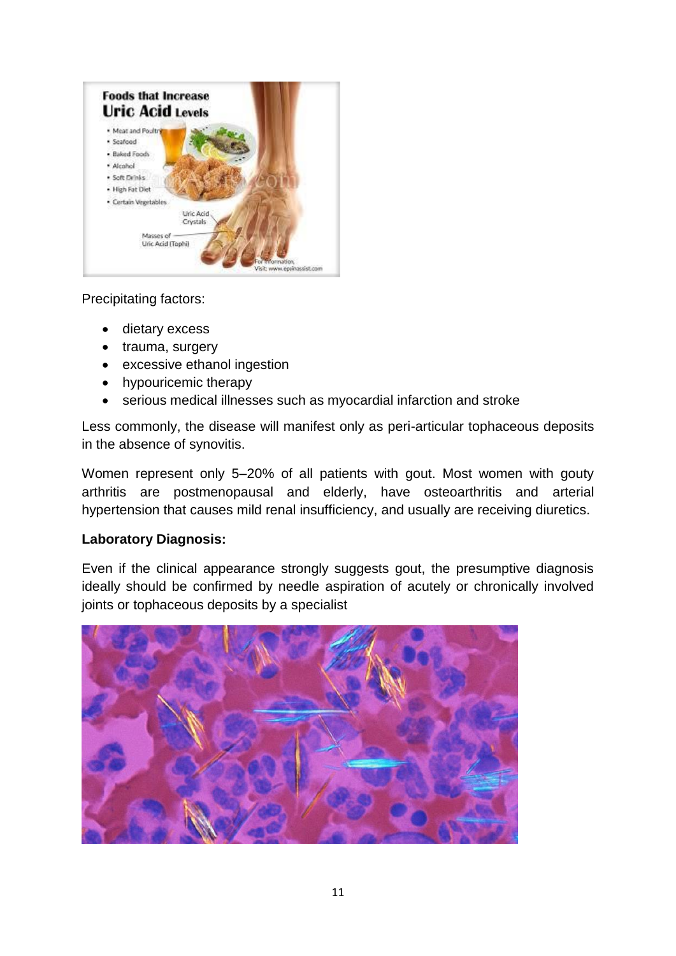

Precipitating factors:

- dietary excess
- trauma, surgery
- excessive ethanol ingestion
- hypouricemic therapy
- serious medical illnesses such as myocardial infarction and stroke

Less commonly, the disease will manifest only as peri-articular tophaceous deposits in the absence of synovitis.

Women represent only 5–20% of all patients with gout. Most women with gouty arthritis are postmenopausal and elderly, have osteoarthritis and arterial hypertension that causes mild renal insufficiency, and usually are receiving diuretics.

#### **Laboratory Diagnosis:**

Even if the clinical appearance strongly suggests gout, the presumptive diagnosis ideally should be confirmed by needle aspiration of acutely or chronically involved joints or tophaceous deposits by a specialist

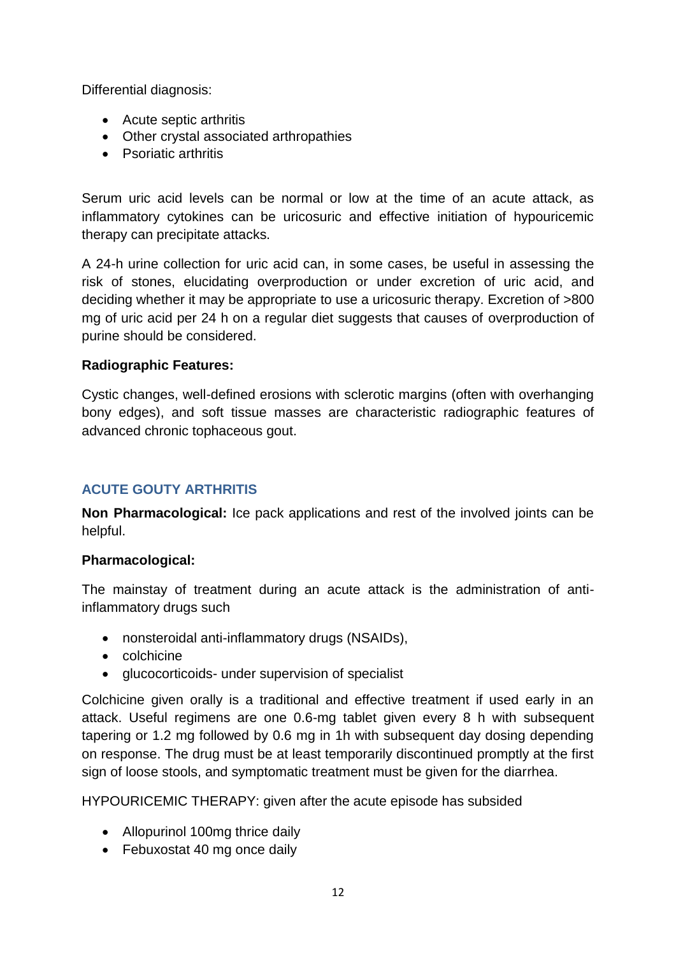Differential diagnosis:

- Acute septic arthritis
- Other crystal associated arthropathies
- Psoriatic arthritis

Serum uric acid levels can be normal or low at the time of an acute attack, as inflammatory cytokines can be uricosuric and effective initiation of hypouricemic therapy can precipitate attacks.

A 24-h urine collection for uric acid can, in some cases, be useful in assessing the risk of stones, elucidating overproduction or under excretion of uric acid, and deciding whether it may be appropriate to use a uricosuric therapy. Excretion of >800 mg of uric acid per 24 h on a regular diet suggests that causes of overproduction of purine should be considered.

## **Radiographic Features:**

Cystic changes, well-defined erosions with sclerotic margins (often with overhanging bony edges), and soft tissue masses are characteristic radiographic features of advanced chronic tophaceous gout.

## **ACUTE GOUTY ARTHRITIS**

**Non Pharmacological:** Ice pack applications and rest of the involved joints can be helpful.

## **Pharmacological:**

The mainstay of treatment during an acute attack is the administration of antiinflammatory drugs such

- nonsteroidal anti-inflammatory drugs (NSAIDs),
- colchicine
- glucocorticoids- under supervision of specialist

Colchicine given orally is a traditional and effective treatment if used early in an attack. Useful regimens are one 0.6-mg tablet given every 8 h with subsequent tapering or 1.2 mg followed by 0.6 mg in 1h with subsequent day dosing depending on response. The drug must be at least temporarily discontinued promptly at the first sign of loose stools, and symptomatic treatment must be given for the diarrhea.

HYPOURICEMIC THERAPY: given after the acute episode has subsided

- Allopurinol 100mg thrice daily
- Febuxostat 40 mg once daily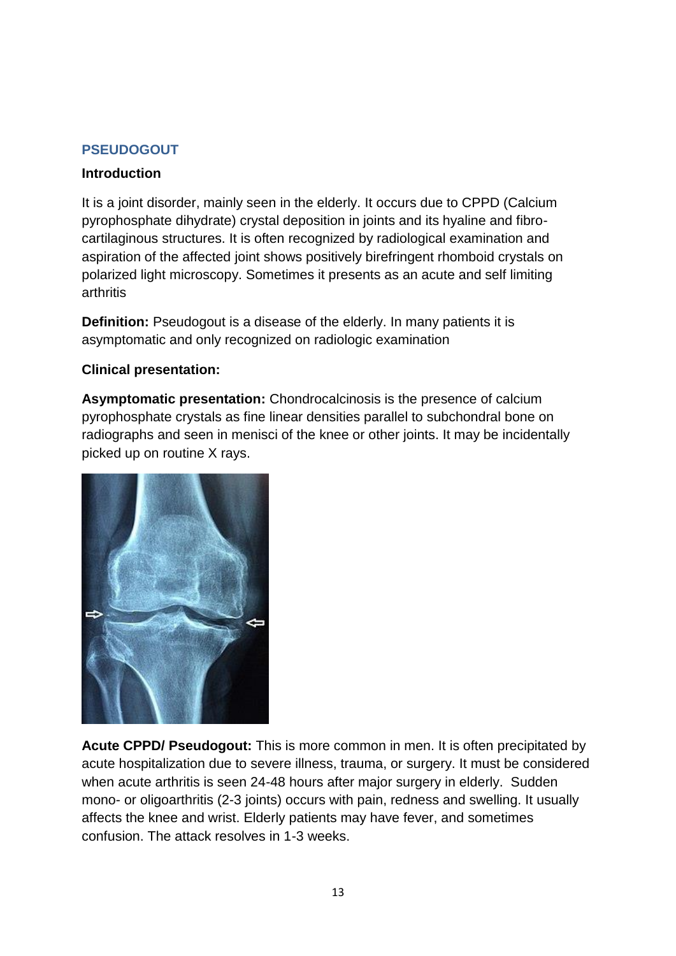## **PSEUDOGOUT**

#### **Introduction**

It is a joint disorder, mainly seen in the elderly. It occurs due to CPPD (Calcium pyrophosphate dihydrate) crystal deposition in joints and its hyaline and fibrocartilaginous structures. It is often recognized by radiological examination and aspiration of the affected joint shows positively birefringent rhomboid crystals on polarized light microscopy. Sometimes it presents as an acute and self limiting arthritis

**Definition:** Pseudogout is a disease of the elderly. In many patients it is asymptomatic and only recognized on radiologic examination

#### **Clinical presentation:**

**Asymptomatic presentation:** Chondrocalcinosis is the presence of calcium pyrophosphate crystals as fine linear densities parallel to subchondral bone on radiographs and seen in menisci of the knee or other joints. It may be incidentally picked up on routine X rays.



**Acute CPPD/ Pseudogout:** This is more common in men. It is often precipitated by acute hospitalization due to severe illness, trauma, or surgery. It must be considered when acute arthritis is seen 24-48 hours after major surgery in elderly. Sudden mono- or oligoarthritis (2-3 joints) occurs with pain, redness and swelling. It usually affects the knee and wrist. Elderly patients may have fever, and sometimes confusion. The attack resolves in 1-3 weeks.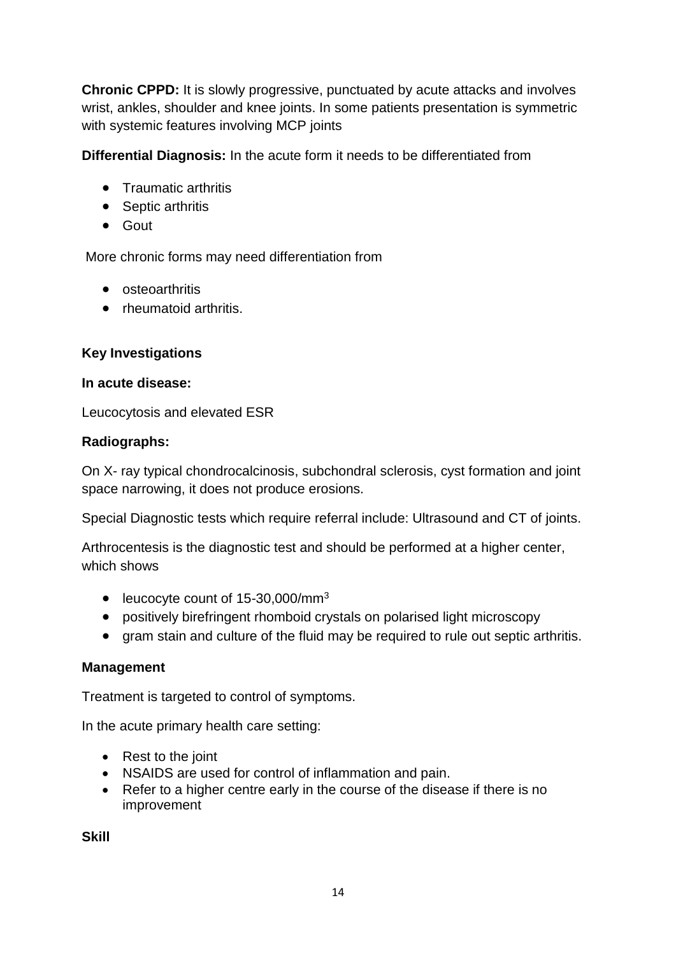**Chronic CPPD:** It is slowly progressive, punctuated by acute attacks and involves wrist, ankles, shoulder and knee joints. In some patients presentation is symmetric with systemic features involving MCP joints

**Differential Diagnosis:** In the acute form it needs to be differentiated from

- Traumatic arthritis
- Septic arthritis
- Gout

More chronic forms may need differentiation from

- osteoarthritis
- rheumatoid arthritis.

#### **Key Investigations**

#### **In acute disease:**

Leucocytosis and elevated ESR

#### **Radiographs:**

On X- ray typical chondrocalcinosis, subchondral sclerosis, cyst formation and joint space narrowing, it does not produce erosions.

Special Diagnostic tests which require referral include: Ultrasound and CT of joints.

Arthrocentesis is the diagnostic test and should be performed at a higher center, which shows

- leucocyte count of 15-30,000/mm<sup>3</sup>
- positively birefringent rhomboid crystals on polarised light microscopy
- gram stain and culture of the fluid may be required to rule out septic arthritis.

#### **Management**

Treatment is targeted to control of symptoms.

In the acute primary health care setting:

- Rest to the joint
- NSAIDS are used for control of inflammation and pain.
- Refer to a higher centre early in the course of the disease if there is no improvement

**Skill**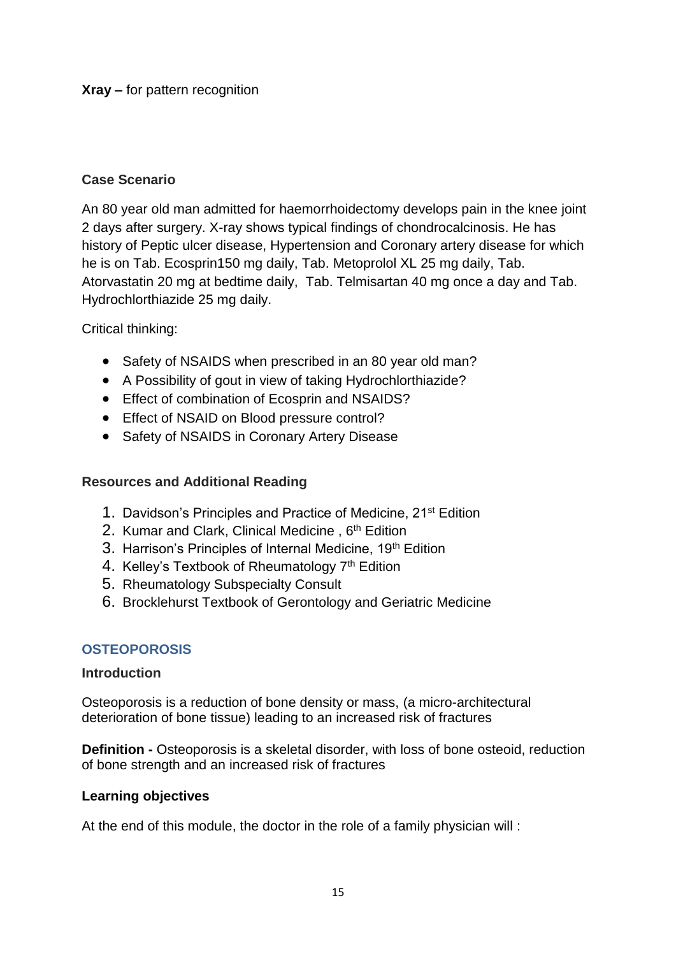**Xray –** for pattern recognition

## **Case Scenario**

An 80 year old man admitted for haemorrhoidectomy develops pain in the knee joint 2 days after surgery. X-ray shows typical findings of chondrocalcinosis. He has history of Peptic ulcer disease, Hypertension and Coronary artery disease for which he is on Tab. Ecosprin150 mg daily, Tab. Metoprolol XL 25 mg daily, Tab. Atorvastatin 20 mg at bedtime daily, Tab. Telmisartan 40 mg once a day and Tab. Hydrochlorthiazide 25 mg daily.

Critical thinking:

- Safety of NSAIDS when prescribed in an 80 year old man?
- A Possibility of gout in view of taking Hydrochlorthiazide?
- Effect of combination of Ecosprin and NSAIDS?
- Effect of NSAID on Blood pressure control?
- Safety of NSAIDS in Coronary Artery Disease

#### **Resources and Additional Reading**

- 1. Davidson's Principles and Practice of Medicine, 21st Edition
- 2. Kumar and Clark, Clinical Medicine, 6<sup>th</sup> Edition
- 3. Harrison's Principles of Internal Medicine, 19<sup>th</sup> Edition
- 4. Kelley's Textbook of Rheumatology  $7<sup>th</sup>$  Edition
- 5. Rheumatology Subspecialty Consult
- 6. Brocklehurst Textbook of Gerontology and Geriatric Medicine

#### **OSTEOPOROSIS**

#### **Introduction**

Osteoporosis is a reduction of bone density or mass, (a micro-architectural deterioration of bone tissue) leading to an increased risk of fractures

**Definition -** Osteoporosis is a skeletal disorder, with loss of bone osteoid, reduction of bone strength and an increased risk of fractures

#### **Learning objectives**

At the end of this module, the doctor in the role of a family physician will :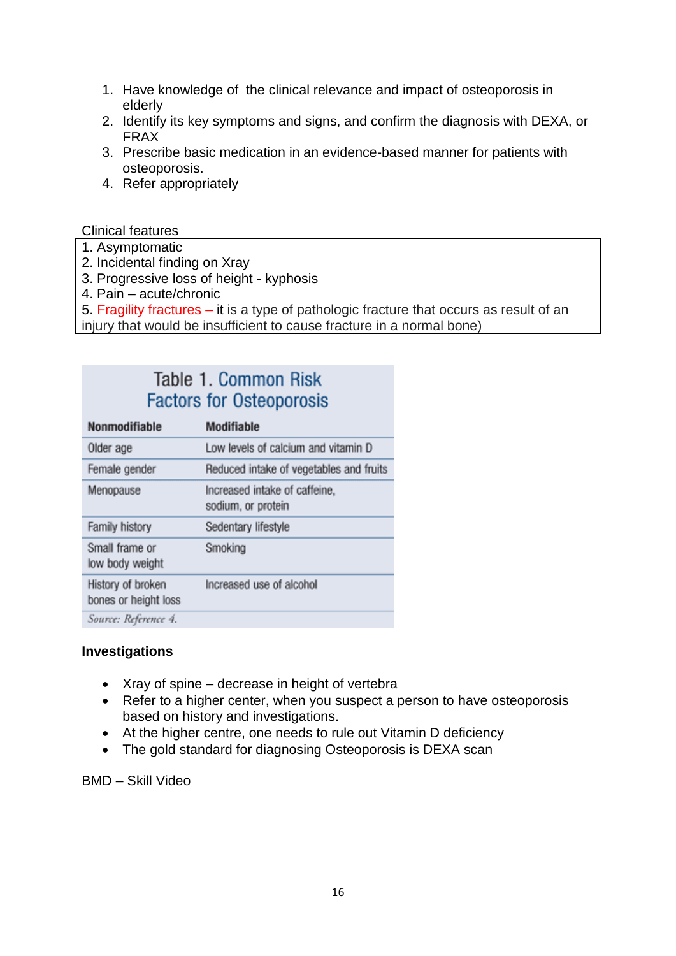- 1. Have knowledge of the clinical relevance and impact of osteoporosis in elderly
- 2. Identify its key symptoms and signs, and confirm the diagnosis with DEXA, or FRAX
- 3. Prescribe basic medication in an evidence-based manner for patients with osteoporosis.
- 4. Refer appropriately

Clinical features

- 1. Asymptomatic
- 2. Incidental finding on Xray
- 3. Progressive loss of height kyphosis
- 4. Pain acute/chronic
- 5. Fragility fractures it is a type of pathologic fracture that occurs as result of an
- injury that would be insufficient to cause fracture in a normal bone)

# Table 1, Common Risk **Factors for Osteoporosis**

| Nonmodifiable                             | <b>Modifiable</b>                                   |
|-------------------------------------------|-----------------------------------------------------|
| Older age                                 | Low levels of calcium and vitamin D                 |
| Female gender                             | Reduced intake of vegetables and fruits             |
| Menopause                                 | Increased intake of caffeine,<br>sodium, or protein |
| <b>Family history</b>                     | Sedentary lifestyle                                 |
| Small frame or<br>low body weight         | Smoking                                             |
| History of broken<br>bones or height loss | Increased use of alcohol                            |
| Source: Reference 4.                      |                                                     |

#### **Investigations**

- Xray of spine decrease in height of vertebra
- Refer to a higher center, when you suspect a person to have osteoporosis based on history and investigations.
- At the higher centre, one needs to rule out Vitamin D deficiency
- The gold standard for diagnosing Osteoporosis is DEXA scan

BMD – Skill Video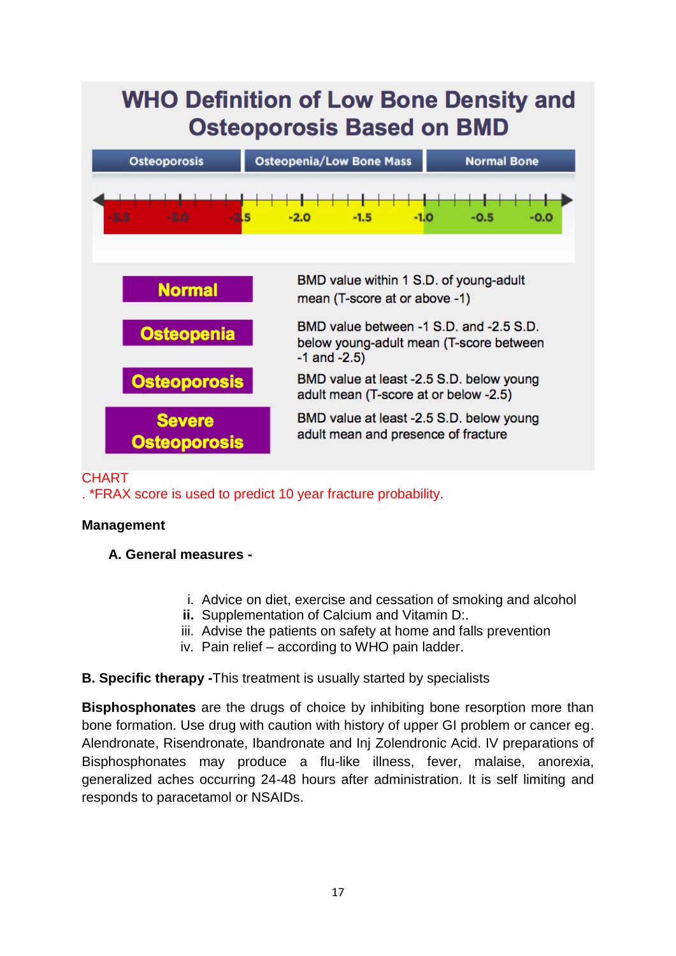| <b>WHO Definition of Low Bone Density and</b><br><b>Osteoporosis Based on BMD</b> |                                                                                                         |                    |
|-----------------------------------------------------------------------------------|---------------------------------------------------------------------------------------------------------|--------------------|
| Osteoporosis                                                                      | <b>Osteopenia/Low Bone Mass</b>                                                                         | <b>Normal Bone</b> |
| $-3.5$<br>$-2.5$<br>$-3.0$                                                        | $-2.0$<br>$-1.5$<br>$-1.0$                                                                              | $-0.5$<br>$-0.0$   |
|                                                                                   |                                                                                                         |                    |
| <b>Normal</b>                                                                     | BMD value within 1 S.D. of young-adult<br>mean (T-score at or above -1)                                 |                    |
| <b>Osteopenia</b>                                                                 | BMD value between -1 S.D. and -2.5 S.D.<br>below young-adult mean (T-score between<br>$-1$ and $-2.5$ ) |                    |
| <b>Osteoporosis</b>                                                               | BMD value at least -2.5 S.D. below young<br>adult mean (T-score at or below -2.5)                       |                    |
| <b>Severe</b><br><b>Osteoporosis</b>                                              | BMD value at least -2.5 S.D. below young<br>adult mean and presence of fracture                         |                    |

## **CHART**

. \*FRAX score is used to predict 10 year fracture probability.

#### **Management**

- **A. General measures** 
	- i. Advice on diet, exercise and cessation of smoking and alcohol
	- **ii.** Supplementation of Calcium and Vitamin D:.
	- iii. Advise the patients on safety at home and falls prevention
	- iv. Pain relief according to WHO pain ladder.

#### **B. Specific therapy -**This treatment is usually started by specialists

**Bisphosphonates** are the drugs of choice by inhibiting bone resorption more than bone formation. Use drug with caution with history of upper GI problem or cancer eg. Alendronate, Risendronate, Ibandronate and Inj Zolendronic Acid. IV preparations of Bisphosphonates may produce a flu-like illness, fever, malaise, anorexia, generalized aches occurring 24-48 hours after administration. It is self limiting and responds to paracetamol or NSAIDs.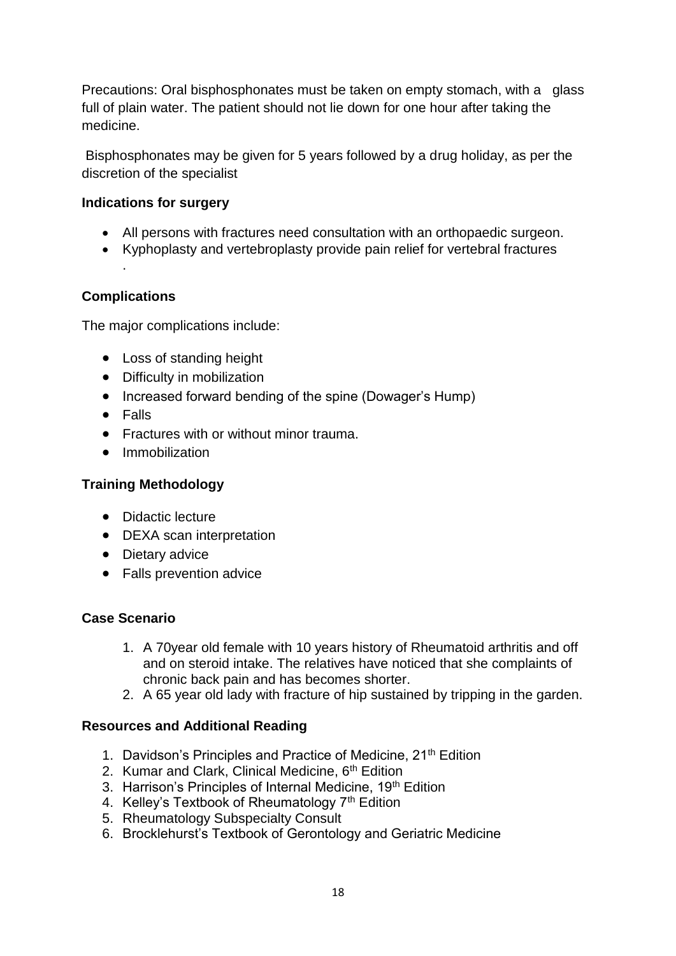Precautions: Oral bisphosphonates must be taken on empty stomach, with a glass full of plain water. The patient should not lie down for one hour after taking the medicine.

Bisphosphonates may be given for 5 years followed by a drug holiday, as per the discretion of the specialist

## **Indications for surgery**

- All persons with fractures need consultation with an orthopaedic surgeon.
- Kyphoplasty and vertebroplasty provide pain relief for vertebral fractures

#### **Complications**

.

The major complications include:

- Loss of standing height
- Difficulty in mobilization
- Increased forward bending of the spine (Dowager's Hump)
- Falls
- Fractures with or without minor trauma.
- Immobilization

## **Training Methodology**

- Didactic lecture
- DEXA scan interpretation
- Dietary advice
- Falls prevention advice

#### **Case Scenario**

- 1. A 70year old female with 10 years history of Rheumatoid arthritis and off and on steroid intake. The relatives have noticed that she complaints of chronic back pain and has becomes shorter.
- 2. A 65 year old lady with fracture of hip sustained by tripping in the garden.

#### **Resources and Additional Reading**

- 1. Davidson's Principles and Practice of Medicine, 21<sup>th</sup> Edition
- 2. Kumar and Clark, Clinical Medicine, 6<sup>th</sup> Edition
- 3. Harrison's Principles of Internal Medicine, 19th Edition
- 4. Kelley's Textbook of Rheumatology 7<sup>th</sup> Edition
- 5. Rheumatology Subspecialty Consult
- 6. Brocklehurst's Textbook of Gerontology and Geriatric Medicine